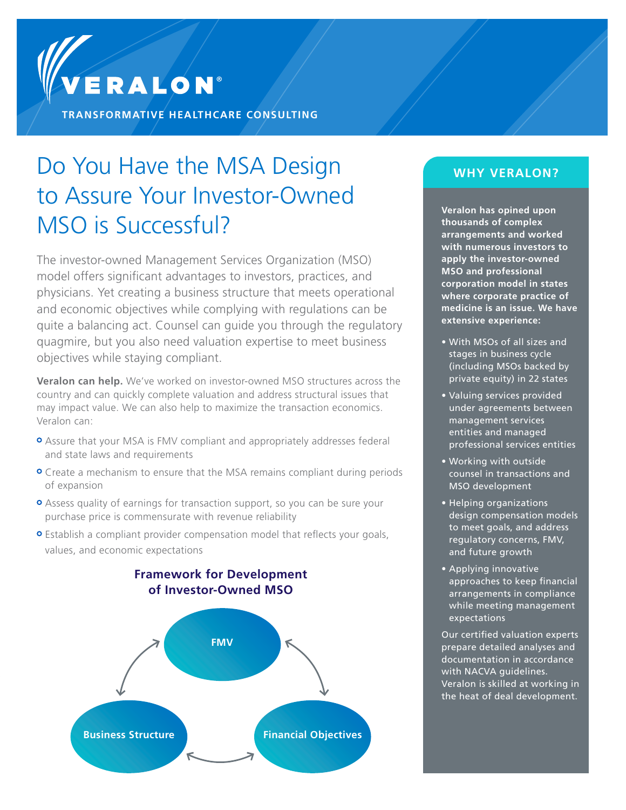

**TRANSFORMATIVE HEALTHCARE CONSULTING**

# Do You Have the MSA Design to Assure Your Investor-Owned MSO is Successful?

The investor-owned Management Services Organization (MSO) model offers significant advantages to investors, practices, and physicians. Yet creating a business structure that meets operational and economic objectives while complying with regulations can be quite a balancing act. Counsel can guide you through the regulatory quagmire, but you also need valuation expertise to meet business objectives while staying compliant.

**Veralon can help.** We've worked on investor-owned MSO structures across the country and can quickly complete valuation and address structural issues that may impact value. We can also help to maximize the transaction economics. Veralon can:

- Assure that your MSA is FMV compliant and appropriately addresses federal and state laws and requirements
- **o** Create a mechanism to ensure that the MSA remains compliant during periods of expansion
- Assess quality of earnings for transaction support, so you can be sure your purchase price is commensurate with revenue reliability
- Establish a compliant provider compensation model that reflects your goals, values, and economic expectations



# **WHY VERALON?**

**Veralon has opined upon thousands of complex arrangements and worked with numerous investors to apply the investor-owned MSO and professional corporation model in states where corporate practice of medicine is an issue. We have extensive experience:** 

- With MSOs of all sizes and stages in business cycle (including MSOs backed by private equity) in 22 states
- Valuing services provided under agreements between management services entities and managed professional services entities
- Working with outside counsel in transactions and MSO development
- Helping organizations design compensation models to meet goals, and address regulatory concerns, FMV, and future growth
- Applying innovative approaches to keep financial arrangements in compliance while meeting management expectations

Our certified valuation experts prepare detailed analyses and documentation in accordance with NACVA guidelines. Veralon is skilled at working in the heat of deal development.